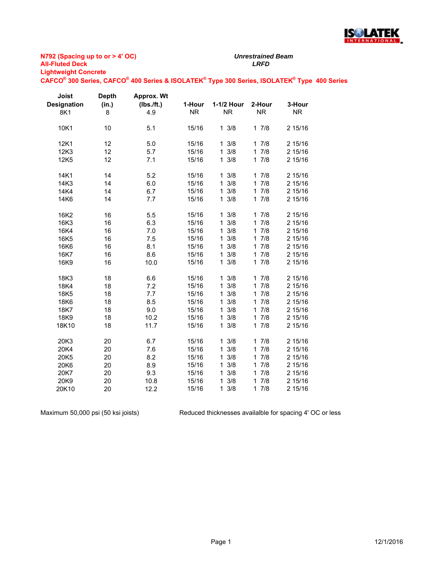

## **N792 (Spacing up to or > 4' OC) All-Fluted Deck** *LRFD* **Lightweight Concrete**

*Unrestrained Beam*

**CAFCO® 300 Series, CAFCO® 400 Series & ISOLATEK® Type 300 Series, ISOLATEK® Type 400 Series**

| Joist              | <b>Depth</b> | <b>Approx. Wt</b> |           |                     |                     |           |
|--------------------|--------------|-------------------|-----------|---------------------|---------------------|-----------|
| <b>Designation</b> | (in.)        | (Ibs./ft.)        | 1-Hour    | 1-1/2 Hour          | 2-Hour              | 3-Hour    |
| 8K1                | 8            | 4.9               | <b>NR</b> | <b>NR</b>           | <b>NR</b>           | <b>NR</b> |
| 10K1               | 10           | 5.1               | 15/16     | $1 \frac{3}{8}$     | 17/8                | 2 15/16   |
| 12K1               | 12           | 5.0               | 15/16     | $1 \frac{3}{8}$     | 17/8                | 2 15/16   |
| 12K3               | 12           | 5.7               | 15/16     | $1 \frac{3}{8}$     | 17/8                | 2 15/16   |
| 12K5               | 12           | 7.1               | 15/16     | $1 \frac{3}{8}$     | 17/8                | 2 15/16   |
| 14K1               | 14           | 5.2               | 15/16     | $1 \frac{3}{8}$     | 17/8                | 2 15/16   |
| 14K3               | 14           | 6.0               | 15/16     | $1 \frac{3}{8}$     | 17/8                | 2 15/16   |
| 14K4               | 14           | 6.7               | 15/16     | $1 \frac{3}{8}$     | 17/8                | 2 15/16   |
| 14K6               | 14           | 7.7               | 15/16     | $1 \frac{3}{8}$     | 17/8                | 2 15/16   |
| 16K2               | 16           | 5.5               | 15/16     | $1 \frac{3}{8}$     | 17/8                | 2 15/16   |
| 16K3               | 16           | 6.3               | 15/16     | 3/8<br>$\mathbf{1}$ | 7/8<br>$\mathbf 1$  | 2 15/16   |
| 16K4               | 16           | 7.0               | 15/16     | 3/8<br>$\mathbf{1}$ | 7/8<br>$\mathbf{1}$ | 2 15/16   |
| 16K <sub>5</sub>   | 16           | 7.5               | 15/16     | $\mathbf{1}$<br>3/8 | 7/8<br>1            | 2 15/16   |
| 16K6               | 16           | 8.1               | 15/16     | $\mathbf{1}$<br>3/8 | 7/8<br>$\mathbf{1}$ | 2 15/16   |
| 16K7               | 16           | 8.6               | 15/16     | 3/8<br>$\mathbf{1}$ | 7/8<br>1            | 2 15/16   |
| 16K9               | 16           | 10.0              | 15/16     | $1 \frac{3}{8}$     | 17/8                | 2 15/16   |
| 18K3               | 18           | 6.6               | 15/16     | $1 \frac{3}{8}$     | 7/8<br>$\mathbf{1}$ | 2 15/16   |
| 18K4               | 18           | 7.2               | 15/16     | 3/8<br>$\mathbf{1}$ | 7/8<br>1            | 2 15/16   |
| 18K5               | 18           | 7.7               | 15/16     | $\mathbf{1}$<br>3/8 | 7/8<br>$\mathbf{1}$ | 2 15/16   |
| 18K6               | 18           | 8.5               | 15/16     | 3/8<br>$\mathbf{1}$ | 7/8<br>$\mathbf{1}$ | 2 15/16   |
| 18K7               | 18           | 9.0               | 15/16     | $\mathbf{1}$<br>3/8 | 7/8<br>1            | 2 15/16   |
| 18K9               | 18           | 10.2              | 15/16     | 3/8<br>$\mathbf{1}$ | 7/8<br>1            | 2 15/16   |
| 18K10              | 18           | 11.7              | 15/16     | $1 \frac{3}{8}$     | 7/8<br>$\mathbf{1}$ | 2 15/16   |
| 20K3               | 20           | 6.7               | 15/16     | $1 \frac{3}{8}$     | 17/8                | 2 15/16   |
| 20K4               | 20           | 7.6               | 15/16     | 3/8<br>$\mathbf{1}$ | 7/8<br>$\mathbf{1}$ | 2 15/16   |
| 20K5               | 20           | 8.2               | 15/16     | 3/8<br>1            | 17/8                | 2 15/16   |
| 20K6               | 20           | 8.9               | 15/16     | 3/8<br>$\mathbf{1}$ | 17/8                | 2 15/16   |
| 20K7               | 20           | 9.3               | 15/16     | 3/8<br>1            | 17/8                | 2 15/16   |
| 20K9               | 20           | 10.8              | 15/16     | 3/8<br>$\mathbf{1}$ | 7/8<br>$\mathbf{1}$ | 2 15/16   |
| 20K10              | 20           | 12.2              | 15/16     | $1 \frac{3}{8}$     | 17/8                | 2 15/16   |

Maximum 50,000 psi (50 ksi joists)

Reduced thicknesses availalble for spacing 4' OC or less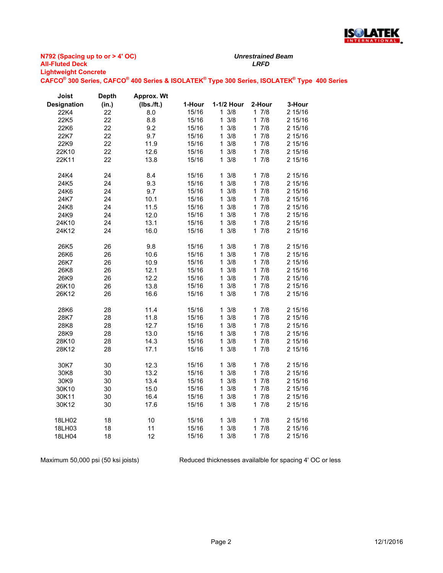

**N792 (Spacing up to or > 4' OC) All-Fluted Deck** *LRFD* **Lightweight Concrete CAFCO® 300 Series, CAFCO® 400 Series & ISOLATEK® Type 300 Series, ISOLATEK® Type 400 Series**

| Joist              | <b>Depth</b> | Approx. Wt |        |                     |                     |         |
|--------------------|--------------|------------|--------|---------------------|---------------------|---------|
| <b>Designation</b> | (in.)        | (Ibs./ft.) | 1-Hour | 1-1/2 Hour          | 2-Hour              | 3-Hour  |
| 22K4               | 22           | 8.0        | 15/16  | $1 \frac{3}{8}$     | 17/8                | 2 15/16 |
| 22K5               | 22           | 8.8        | 15/16  | 3/8<br>1            | 7/8<br>1            | 2 15/16 |
| 22K6               | 22           | 9.2        | 15/16  | $\mathbf{1}$<br>3/8 | 7/8<br>1            | 2 15/16 |
| 22K7               | 22           | 9.7        | 15/16  | 3/8<br>1            | 7/8<br>1            | 2 15/16 |
| 22K9               | 22           | 11.9       | 15/16  | 3/8<br>1            | 7/8<br>1            | 2 15/16 |
| 22K10              | 22           | 12.6       | 15/16  | 3/8<br>1            | 7/8<br>1            | 2 15/16 |
| 22K11              | 22           | 13.8       | 15/16  | 3/8<br>$\mathbf{1}$ | 17/8                | 2 15/16 |
| 24K4               | 24           | 8.4        | 15/16  | $1 \frac{3}{8}$     | 17/8                | 2 15/16 |
| 24K5               | 24           | 9.3        | 15/16  | 3/8<br>1            | 7/8<br>1            | 2 15/16 |
| 24K6               | 24           | 9.7        | 15/16  | 3/8<br>1.           | 7/8<br>1            | 2 15/16 |
| 24K7               | 24           | 10.1       | 15/16  | 3/8<br>1            | 7/8<br>1            | 2 15/16 |
| 24K8               | 24           | 11.5       | 15/16  | 3/8<br>1            | 7/8<br>1            | 2 15/16 |
| 24K9               | 24           | 12.0       | 15/16  | 3/8<br>$\mathbf{1}$ | 17/8                | 2 15/16 |
| 24K10              | 24           | 13.1       | 15/16  | 1<br>3/8            | 7/8<br>1            | 2 15/16 |
| 24K12              | 24           | 16.0       | 15/16  | 3/8<br>$\mathbf 1$  | 17/8                | 2 15/16 |
| 26K5               | 26           | 9.8        | 15/16  | 3/8<br>1            | 1.<br>7/8           | 2 15/16 |
| 26K6               | 26           | 10.6       | 15/16  | $\mathbf{1}$<br>3/8 | 7/8<br>1            | 2 15/16 |
| 26K7               | 26           | 10.9       | 15/16  | 3/8<br>1            | 7/8<br>1            | 2 15/16 |
| 26K8               | 26           | 12.1       | 15/16  | 3/8<br>1            | 7/8<br>1.           | 2 15/16 |
| 26K9               | 26           | 12.2       | 15/16  | 3/8<br>1            | 7/8<br>1            | 2 15/16 |
| 26K10              | 26           | 13.8       | 15/16  | 3/8<br>1            | 7/8<br>1            | 2 15/16 |
| 26K12              | 26           | 16.6       | 15/16  | 3/8<br>$\mathbf 1$  | 17/8                | 2 15/16 |
| 28K6               | 28           | 11.4       | 15/16  | 3/8<br>1            | 7/8<br>1            | 2 15/16 |
| 28K7               | 28           | 11.8       | 15/16  | 3/8<br>$\mathbf 1$  | 7/8<br>$\mathbf{1}$ | 2 15/16 |
| 28K8               | 28           | 12.7       | 15/16  | 3/8<br>1            | 7/8<br>1            | 2 15/16 |
| 28K9               | 28           | 13.0       | 15/16  | 3/8<br>1            | 7/8<br>1            | 2 15/16 |
| 28K10              | 28           | 14.3       | 15/16  | 3/8<br>1            | 7/8<br>1            | 2 15/16 |
| 28K12              | 28           | 17.1       | 15/16  | 3/8<br>$\mathbf{1}$ | 7/8<br>1.           | 2 15/16 |
| 30K7               | 30           | 12.3       | 15/16  | $1 \frac{3}{8}$     | 17/8                | 2 15/16 |
| 30K8               | 30           | 13.2       | 15/16  | 3/8<br>1            | 7/8<br>1            | 2 15/16 |
| 30K9               | 30           | 13.4       | 15/16  | 3/8<br>1            | 7/8<br>1            | 2 15/16 |
| 30K10              | 30           | 15.0       | 15/16  | 3/8<br>1            | 7/8<br>1            | 2 15/16 |
| 30K11              | 30           | 16.4       | 15/16  | 3/8<br>1            | 17/8                | 2 15/16 |
| 30K12              | 30           | 17.6       | 15/16  | 3/8<br>1            | 7/8<br>1            | 2 15/16 |
| 18LH02             | 18           | 10         | 15/16  | $1 \frac{3}{8}$     | 17/8                | 2 15/16 |
| 18LH03             | 18           | 11         | 15/16  | 3/8<br>1            | 7/8<br>1            | 2 15/16 |
| 18LH04             | 18           | 12         | 15/16  | $1 \frac{3}{8}$     | 17/8                | 2 15/16 |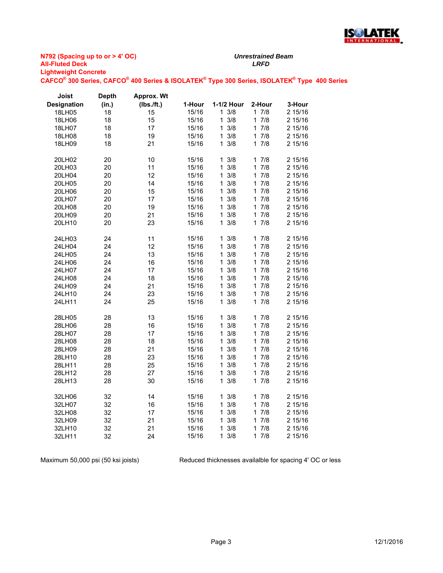

**N792 (Spacing up to or > 4' OC) All-Fluted Deck** *LRFD* **Lightweight Concrete**

**CAFCO® 300 Series, CAFCO® 400 Series & ISOLATEK® Type 300 Series, ISOLATEK® Type 400 Series**

| Joist              | <b>Depth</b> | <b>Approx. Wt</b> |        |                 |                     |         |
|--------------------|--------------|-------------------|--------|-----------------|---------------------|---------|
| <b>Designation</b> | (in.)        | (Ibs./ft.)        | 1-Hour | 1-1/2 Hour      | 2-Hour              | 3-Hour  |
| 18LH05             | 18           | 15                | 15/16  | $1 \frac{3}{8}$ | 17/8                | 2 15/16 |
| 18LH06             | 18           | 15                | 15/16  | 3/8<br>1        | $\mathbf{1}$<br>7/8 | 2 15/16 |
| 18LH07             | 18           | 17                | 15/16  | 3/8<br>1        | 17/8                | 2 15/16 |
| 18LH08             | 18           | 19                | 15/16  | 3/8<br>1        | 7/8<br>1            | 2 15/16 |
| 18LH09             | 18           | 21                | 15/16  | $1 \frac{3}{8}$ | 7/8<br>$\mathbf{1}$ | 2 15/16 |
| 20LH02             | 20           | 10                | 15/16  | $1 \frac{3}{8}$ | 17/8                | 2 15/16 |
| 20LH03             | 20           | 11                | 15/16  | 3/8<br>1        | 7/8<br>1            | 2 15/16 |
| 20LH04             | 20           | 12                | 15/16  | 1<br>3/8        | 1<br>7/8            | 2 15/16 |
| 20LH05             | 20           | 14                | 15/16  | 3/8<br>1        | 7/8<br>$\mathbf 1$  | 2 15/16 |
| 20LH06             | 20           | 15                | 15/16  | 3/8<br>1        | 7/8<br>1            | 2 15/16 |
| 20LH07             | 20           | 17                | 15/16  | 3/8<br>1        | 7/8<br>$\mathbf{1}$ | 2 15/16 |
| 20LH08             | 20           | 19                | 15/16  | 3/8<br>1        | 17/8                | 2 15/16 |
| 20LH09             | 20           | 21                | 15/16  | 3/8<br>1        | 7/8<br>1            | 2 15/16 |
| 20LH10             | 20           | 23                | 15/16  | 3/8<br>1        | 7/8<br>1            | 2 15/16 |
| 24LH03             | 24           | 11                | 15/16  | $1 \frac{3}{8}$ | 17/8                | 2 15/16 |
| 24LH04             | 24           | 12                | 15/16  | 3/8<br>1        | 7/8<br>1            | 2 15/16 |
| 24LH05             | 24           | 13                | 15/16  | 3/8<br>1        | 7/8<br>1            | 2 15/16 |
| 24LH06             | 24           | 16                | 15/16  | 3/8<br>1        | 17/8                | 2 15/16 |
| 24LH07             | 24           | 17                | 15/16  | 3/8<br>1        | 7/8<br>1            | 2 15/16 |
| 24LH08             | 24           | 18                | 15/16  | 1<br>3/8        | 1<br>7/8            | 2 15/16 |
| 24LH09             | 24           | 21                | 15/16  | 3/8<br>1        | 7/8<br>1            | 2 15/16 |
| 24LH10             | 24           | 23                | 15/16  | 3/8<br>1        | 17/8                | 2 15/16 |
| 24LH11             | 24           | 25                | 15/16  | $1 \frac{3}{8}$ | 7/8<br>$\mathbf 1$  | 2 15/16 |
| 28LH05             | 28           | 13                | 15/16  | $1 \frac{3}{8}$ | 17/8                | 2 15/16 |
| 28LH06             | 28           | 16                | 15/16  | 3/8<br>1        | 7/8<br>1            | 2 15/16 |
| 28LH07             | 28           | 17                | 15/16  | 1<br>3/8        | $\mathbf{1}$<br>7/8 | 2 15/16 |
| 28LH08             | 28           | 18                | 15/16  | 3/8<br>1        | 7/8<br>1            | 2 15/16 |
| 28LH09             | 28           | 21                | 15/16  | 3/8<br>1        | 7/8<br>$\mathbf 1$  | 2 15/16 |
| 28LH10             | 28           | 23                | 15/16  | 3/8<br>1        | 7/8<br>1            | 2 15/16 |
| 28LH11             | 28           | 25                | 15/16  | 3/8<br>1        | 7/8<br>$\mathbf{1}$ | 2 15/16 |
| 28LH12             | 28           | 27                | 15/16  | 3/8<br>1        | 1<br>7/8            | 2 15/16 |
| 28LH13             | 28           | 30                | 15/16  | $1 \frac{3}{8}$ | 7/8<br>1            | 2 15/16 |
| 32LH06             | 32           | 14                | 15/16  | $1 \frac{3}{8}$ | 17/8                | 2 15/16 |
| 32LH07             | 32           | 16                | 15/16  | 3/8<br>1        | 7/8<br>1            | 2 15/16 |
| 32LH08             | 32           | 17                | 15/16  | 3/8<br>1        | 7/8<br>1            | 2 15/16 |
| 32LH09             | 32           | 21                | 15/16  | 3/8<br>1        | 7/8<br>1            | 2 15/16 |
| 32LH10             | 32           | 21                | 15/16  | 1<br>3/8        | $\mathbf{1}$<br>7/8 | 2 15/16 |
| 32LH11             | 32           | 24                | 15/16  | 3/8<br>1        | 7/8<br>1            | 2 15/16 |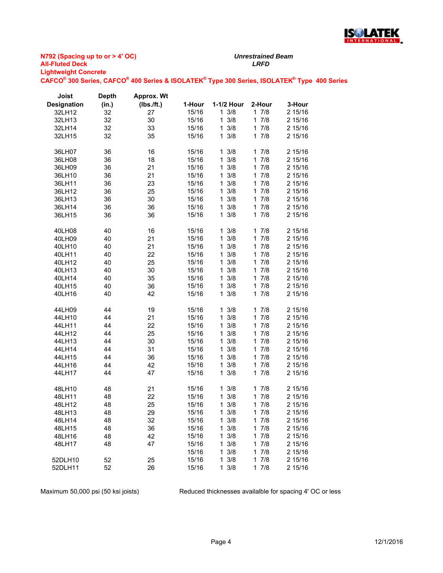

**N792 (Spacing up to or > 4' OC) All-Fluted Deck** *LRFD* **Lightweight Concrete CAFCO® 300 Series, CAFCO® 400 Series & ISOLATEK® Type 300 Series, ISOLATEK® Type 400 Series**

**Depth** 

**Approx. Wt** 

**Joist** 

| <b>Designation</b> | (in.)    | (Ibs./ft.) | 1-Hour | 1-1/2 Hour          | 2-Hour              | 3-Hour  |
|--------------------|----------|------------|--------|---------------------|---------------------|---------|
| 32LH12             | 32       | 27         | 15/16  | $1 \frac{3}{8}$     | 17/8                | 2 15/16 |
| 32LH13             | 32       | 30         | 15/16  | 3/8<br>$\mathbf{1}$ | 17/8                | 2 15/16 |
| 32LH14             | 32       | 33         | 15/16  | 3/8<br>$\mathbf{1}$ | 17/8                | 2 15/16 |
| 32LH15             | 32       | 35         | 15/16  | $\mathbf{1}$<br>3/8 | 17/8                | 2 15/16 |
|                    |          |            |        |                     |                     |         |
| 36LH07             | 36       | 16         | 15/16  | $1 \frac{3}{8}$     | 1<br>7/8            | 2 15/16 |
| 36LH08             | 36       | 18         | 15/16  | 3/8<br>$\mathbf{1}$ | 7/8<br>$\mathbf{1}$ | 2 15/16 |
| 36LH09             | 36       | 21         | 15/16  | 3/8<br>1            | 7/8<br>1.           | 2 15/16 |
| 36LH10             | 36       | 21         | 15/16  | 3/8<br>1            | 17/8                | 2 15/16 |
| 36LH11             | 36       | 23         | 15/16  | $\mathbf{1}$<br>3/8 | 17/8                | 2 15/16 |
| 36LH12             | 36       | 25         | 15/16  | 3/8<br>1            | 7/8<br>1            | 2 15/16 |
| 36LH13             | 36       | 30         | 15/16  | 3/8<br>1            | 17/8                | 2 15/16 |
|                    |          | 36         |        | 3/8                 | 17/8                |         |
| 36LH14             | 36       |            | 15/16  | $\mathbf{1}$        | 17/8                | 2 15/16 |
| 36LH15             | 36       | 36         | 15/16  | 3/8<br>$\mathbf{1}$ |                     | 2 15/16 |
|                    | 40       |            |        | 3/8<br>1            | $\mathbf{1}$<br>7/8 | 2 15/16 |
| 40LH08             |          | 16         | 15/16  | 3/8<br>$\mathbf{1}$ | 7/8<br>$\mathbf{1}$ | 2 15/16 |
| 40LH09             | 40<br>40 | 21<br>21   | 15/16  | 3/8                 | 7/8                 | 2 15/16 |
| 40LH10             |          |            | 15/16  | 1                   | 1                   |         |
| 40LH11             | 40       | 22         | 15/16  | 3/8<br>$\mathbf{1}$ | 17/8                | 2 15/16 |
| 40LH12             | 40       | 25         | 15/16  | 3/8<br>1            | 17/8                | 2 15/16 |
| 40LH13             | 40       | 30         | 15/16  | 1<br>3/8            | 1<br>7/8            | 2 15/16 |
| 40LH14             | 40       | 35         | 15/16  | 3/8<br>$\mathbf{1}$ | 17/8                | 2 15/16 |
| 40LH15             | 40       | 36         | 15/16  | 3/8<br>1            | 7/8<br>1            | 2 15/16 |
| 40LH16             | 40       | 42         | 15/16  | $1 \frac{3}{8}$     | 17/8                | 2 15/16 |
|                    |          |            |        |                     |                     |         |
| 44LH09             | 44       | 19         | 15/16  | 3/8<br>1            | 17/8                | 2 15/16 |
| 44LH10             | 44       | 21         | 15/16  | $\mathbf{1}$<br>3/8 | 7/8<br>$\mathbf{1}$ | 2 15/16 |
| 44LH11             | 44       | 22         | 15/16  | 3/8<br>1            | 7/8<br>1            | 2 15/16 |
| 44LH12             | 44       | 25         | 15/16  | 3/8<br>$\mathbf{1}$ | 17/8                | 2 15/16 |
| 44LH13             | 44       | 30         | 15/16  | 3/8<br>1            | 7/8<br>$\mathbf 1$  | 2 15/16 |
| 44LH14             | 44       | 31         | 15/16  | 3/8<br>1            | 7/8<br>1            | 2 15/16 |
| 44LH15             | 44       | 36         | 15/16  | 3/8<br>1            | 17/8                | 2 15/16 |
| 44LH16             | 44       | 42         | 15/16  | 3/8<br>1            | 7/8<br>1            | 2 15/16 |
| 44LH17             | 44       | 47         | 15/16  | $1 \frac{3}{8}$     | 17/8                | 2 15/16 |
|                    |          |            |        |                     |                     |         |
| 48LH10             | 48       | 21         | 15/16  | 3/8<br>1            | 17/8                | 2 15/16 |
| 48LH11             | 48       | 22         | 15/16  | 3/8<br>$\mathbf{1}$ | 17/8                | 2 15/16 |
| 48LH12             | 48       | 25         | 15/16  | 3/8<br>$\mathbf{1}$ | 7/8<br>1            | 2 15/16 |
| 48LH13             | 48       | 29         | 15/16  | 3/8<br>1            | 17/8                | 2 15/16 |
| 48LH14             | 48       | 32         | 15/16  | 1<br>3/8            | 7/8<br>1            | 2 15/16 |
| 48LH15             | 48       | 36         | 15/16  | 1<br>3/8            | $\mathbf{1}$<br>7/8 | 2 15/16 |
| 48LH16             | 48       | 42         | 15/16  | 3/8<br>1            | 17/8                | 2 15/16 |
| 48LH17             | 48       | 47         | 15/16  | 3/8<br>1            | 7/8<br>1            | 2 15/16 |
|                    |          |            | 15/16  | 3/8<br>1            | 17/8                | 2 15/16 |
| 52DLH10            | 52       | 25         | 15/16  | 3/8<br>1            | 7/8<br>1            | 2 15/16 |
| 52DLH11            | 52       | 26         | 15/16  | $1 \frac{3}{8}$     | 17/8                | 2 15/16 |
|                    |          |            |        |                     |                     |         |